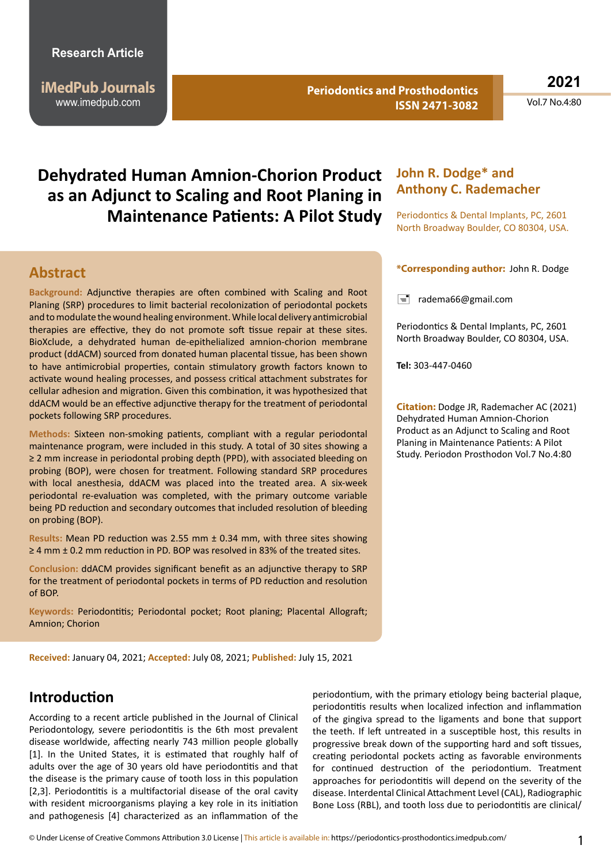### **Research Article**

**iMedPub Journals** www.imedpub.com

**Periodontics and Prosthodontics ISSN 2471-3082** **2021**

Vol.7 No.4:80

# **Dehydrated Human Amnion-Chorion Product as an Adjunct to Scaling and Root Planing in Maintenance Patients: A Pilot Study**

### **Abstract**

**Background:** Adjunctive therapies are often combined with Scaling and Root Planing (SRP) procedures to limit bacterial recolonization of periodontal pockets and to modulate the wound healing environment. While local delivery antimicrobial therapies are effective, they do not promote soft tissue repair at these sites. BioXclude, a dehydrated human de-epithelialized amnion-chorion membrane product (ddACM) sourced from donated human placental tissue, has been shown to have antimicrobial properties, contain stimulatory growth factors known to activate wound healing processes, and possess critical attachment substrates for cellular adhesion and migration. Given this combination, it was hypothesized that ddACM would be an effective adjunctive therapy for the treatment of periodontal pockets following SRP procedures.

**Methods:** Sixteen non-smoking patients, compliant with a regular periodontal maintenance program, were included in this study. A total of 30 sites showing a ≥ 2 mm increase in periodontal probing depth (PPD), with associated bleeding on probing (BOP), were chosen for treatment. Following standard SRP procedures with local anesthesia, ddACM was placed into the treated area. A six-week periodontal re-evaluation was completed, with the primary outcome variable being PD reduction and secondary outcomes that included resolution of bleeding on probing (BOP).

**Results:** Mean PD reduction was 2.55 mm ± 0.34 mm, with three sites showing  $\geq$  4 mm  $\pm$  0.2 mm reduction in PD. BOP was resolved in 83% of the treated sites.

**Conclusion:** ddACM provides significant benefit as an adjunctive therapy to SRP for the treatment of periodontal pockets in terms of PD reduction and resolution of BOP.

**Keywords:** Periodontitis; Periodontal pocket; Root planing; Placental Allograft; Amnion; Chorion

### **John R. Dodge\* and Anthony C. Rademacher**

Periodontics & Dental Implants, PC, 2601 North Broadway Boulder, CO 80304, USA.

#### **\*Corresponding author:** John R. Dodge

 $\equiv$  radema66@gmail.com

Periodontics & Dental Implants, PC, 2601 North Broadway Boulder, CO 80304, USA.

**Tel:** 303-447-0460

**Citation:** Dodge JR, Rademacher AC (2021) Dehydrated Human Amnion-Chorion Product as an Adjunct to Scaling and Root Planing in Maintenance Patients: A Pilot Study. Periodon Prosthodon Vol.7 No.4:80

**Received:** January 04, 2021; **Accepted:** July 08, 2021; **Published:** July 15, 2021

## **Introduction**

According to a recent article published in the Journal of Clinical Periodontology, severe periodontitis is the 6th most prevalent disease worldwide, affecting nearly 743 million people globally [1]. In the United States, it is estimated that roughly half of adults over the age of 30 years old have periodontitis and that the disease is the primary cause of tooth loss in this population [2,3]. Periodontitis is a multifactorial disease of the oral cavity with resident microorganisms playing a key role in its initiation and pathogenesis [4] characterized as an inflammation of the

periodontium, with the primary etiology being bacterial plaque, periodontitis results when localized infection and inflammation of the gingiva spread to the ligaments and bone that support the teeth. If left untreated in a susceptible host, this results in progressive break down of the supporting hard and soft tissues, creating periodontal pockets acting as favorable environments for continued destruction of the periodontium. Treatment approaches for periodontitis will depend on the severity of the disease. Interdental Clinical Attachment Level (CAL), Radiographic Bone Loss (RBL), and tooth loss due to periodontitis are clinical/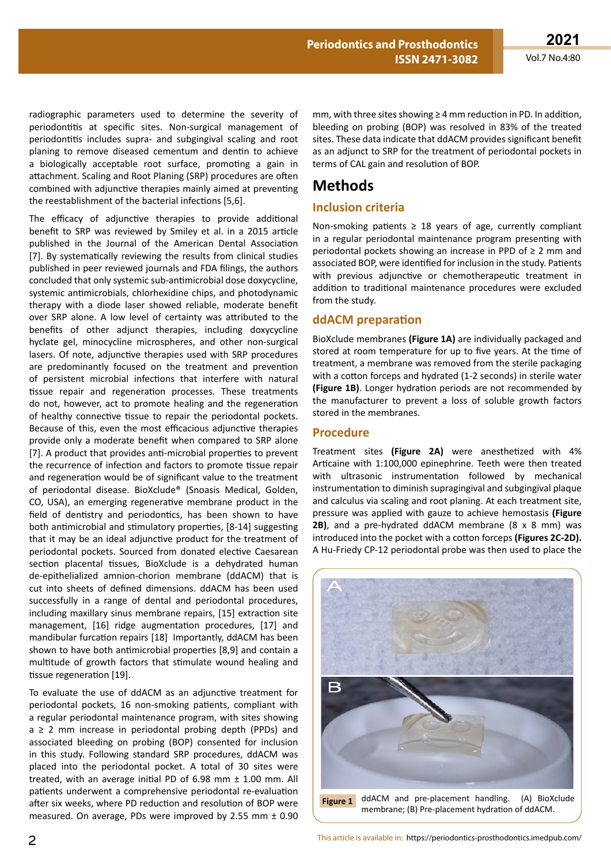radiographic parameters used to determine the severity of periodontitis at specific sites. Non-surgical management of periodontitis includes supra- and subgingival scaling and root planing to remove diseased cementum and dentin to achieve a biologically acceptable root surface, promoting a gain in attachment. Scaling and Root Planing (SRP) procedures are often combined with adjunctive therapies mainly aimed at preventing the reestablishment of the bacterial infections [5,6].

The efficacy of adjunctive therapies to provide additional benefit to SRP was reviewed by Smiley et al. in a 2015 article published in the Journal of the American Dental Association [7]. By systematically reviewing the results from clinical studies published in peer reviewed journals and FDA filings, the authors concluded that only systemic sub-antimicrobial dose doxycycline, systemic antimicrobials, chlorhexidine chips, and photodynamic therapy with a diode laser showed reliable, moderate benefit over SRP alone. A low level of certainty was attributed to the benefits of other adjunct therapies, including doxycycline hyclate gel, minocycline microspheres, and other non-surgical lasers. Of note, adjunctive therapies used with SRP procedures are predominantly focused on the treatment and prevention of persistent microbial infections that interfere with natural tissue repair and regeneration processes. These treatments do not, however, act to promote healing and the regeneration of healthy connective tissue to repair the periodontal pockets. Because of this, even the most efficacious adjunctive therapies provide only a moderate benefit when compared to SRP alone [7]. A product that provides anti-microbial properties to prevent the recurrence of infection and factors to promote tissue repair and regeneration would be of significant value to the treatment of periodontal disease. BioXclude® (Snoasis Medical, Golden, CO, USA), an emerging regenerative membrane product in the field of dentistry and periodontics, has been shown to have both antimicrobial and stimulatory properties, [8-14] suggesting that it may be an ideal adjunctive product for the treatment of periodontal pockets. Sourced from donated elective Caesarean section placental tissues, BioXclude is a dehydrated human de-epithelialized amnion-chorion membrane (ddACM) that is cut into sheets of defined dimensions. ddACM has been used successfully in a range of dental and periodontal procedures, including maxillary sinus membrane repairs, [15] extraction site management, [16] ridge augmentation procedures, [17] and mandibular furcation repairs [18] Importantly, ddACM has been shown to have both antimicrobial properties [8,9] and contain a multitude of growth factors that stimulate wound healing and tissue regeneration [19].

To evaluate the use of ddACM as an adjunctive treatment for periodontal pockets, 16 non-smoking patients, compliant with a regular periodontal maintenance program, with sites showing  $a \ge 2$  mm increase in periodontal probing depth (PPDs) and associated bleeding on probing (BOP) consented for inclusion in this study. Following standard SRP procedures, ddACM was placed into the periodontal pocket. A total of 30 sites were treated, with an average initial PD of 6.98 mm ± 1.00 mm. All patients underwent a comprehensive periodontal re-evaluation after six weeks, where PD reduction and resolution of BOP were measured. On average, PDs were improved by 2.55 mm ± 0.90

mm, with three sites showing ≥ 4 mm reduction in PD. In addition, bleeding on probing (BOP) was resolved in 83% of the treated sites. These data indicate that ddACM provides significant benefit as an adjunct to SRP for the treatment of periodontal pockets in terms of CAL gain and resolution of BOP.

# **Methods**

### **Inclusion criteria**

Non-smoking patients  $\geq$  18 years of age, currently compliant in a regular periodontal maintenance program presenting with periodontal pockets showing an increase in PPD of ≥ 2 mm and associated BOP, were identified for inclusion in the study. Patients with previous adjunctive or chemotherapeutic treatment in addition to traditional maintenance procedures were excluded from the study.

### **ddACM preparation**

BioXclude membranes **(Figure 1A)** are individually packaged and stored at room temperature for up to five years. At the time of treatment, a membrane was removed from the sterile packaging with a cotton forceps and hydrated (1-2 seconds) in sterile water **(Figure 1B)**. Longer hydration periods are not recommended by the manufacturer to prevent a loss of soluble growth factors stored in the membranes.

#### **Procedure**

Treatment sites **(Figure 2A)** were anesthetized with 4% Articaine with 1:100,000 epinephrine. Teeth were then treated with ultrasonic instrumentation followed by mechanical instrumentation to diminish supragingival and subgingival plaque and calculus via scaling and root planing. At each treatment site, pressure was applied with gauze to achieve hemostasis **(Figure 2B)**, and a pre-hydrated ddACM membrane (8 x 8 mm) was introduced into the pocket with a cotton forceps **(Figures 2C-2D).** A Hu-Friedy CP-12 periodontal probe was then used to place the

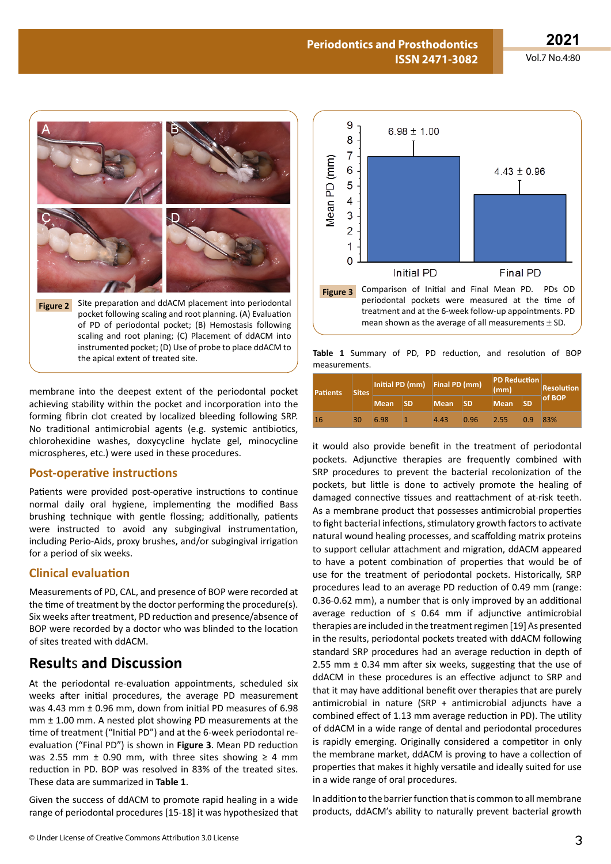**2021**

Vol.7 No.4:80



membrane into the deepest extent of the periodontal pocket achieving stability within the pocket and incorporation into the forming fibrin clot created by localized bleeding following SRP. No traditional antimicrobial agents (e.g. systemic antibiotics, chlorohexidine washes, doxycycline hyclate gel, minocycline microspheres, etc.) were used in these procedures.

#### **Post-operative instructions**

Patients were provided post-operative instructions to continue normal daily oral hygiene, implementing the modified Bass brushing technique with gentle flossing; additionally, patients were instructed to avoid any subgingival instrumentation, including Perio-Aids, proxy brushes, and/or subgingival irrigation for a period of six weeks.

#### **Clinical evaluation**

Measurements of PD, CAL, and presence of BOP were recorded at the time of treatment by the doctor performing the procedure(s). Six weeks after treatment, PD reduction and presence/absence of BOP were recorded by a doctor who was blinded to the location of sites treated with ddACM.

# **Result**s **and Discussion**

At the periodontal re-evaluation appointments, scheduled six weeks after initial procedures, the average PD measurement was 4.43 mm ± 0.96 mm, down from initial PD measures of 6.98 mm ± 1.00 mm. A nested plot showing PD measurements at the time of treatment ("Initial PD") and at the 6-week periodontal reevaluation ("Final PD") is shown in **Figure 3**. Mean PD reduction was 2.55 mm  $\pm$  0.90 mm, with three sites showing  $\geq$  4 mm reduction in PD. BOP was resolved in 83% of the treated sites. These data are summarized in **Table 1**.

Given the success of ddACM to promote rapid healing in a wide range of periodontal procedures [15-18] it was hypothesized that



**Table 1** Summary of PD, PD reduction, and resolution of BOP measurements.

| <b>Patients</b> | <b>Sites</b> | Initial PD (mm) Final PD (mm) |           |             |           | PD Reduction<br>(mm) |           | <b>Resolution</b> |
|-----------------|--------------|-------------------------------|-----------|-------------|-----------|----------------------|-----------|-------------------|
|                 |              | <b>Mean</b>                   | <b>SD</b> | <b>Mean</b> | <b>SD</b> | <b>Mean</b>          | <b>SD</b> | of BOP            |
| 16              | 30           | 6.98                          |           | 4.43        | 0.96      | 2.55                 | 0.9       | 83%               |

it would also provide benefit in the treatment of periodontal pockets. Adjunctive therapies are frequently combined with SRP procedures to prevent the bacterial recolonization of the pockets, but little is done to actively promote the healing of damaged connective tissues and reattachment of at-risk teeth. As a membrane product that possesses antimicrobial properties to fight bacterial infections, stimulatory growth factors to activate natural wound healing processes, and scaffolding matrix proteins to support cellular attachment and migration, ddACM appeared to have a potent combination of properties that would be of use for the treatment of periodontal pockets. Historically, SRP procedures lead to an average PD reduction of 0.49 mm (range: 0.36-0.62 mm), a number that is only improved by an additional average reduction of  $\leq$  0.64 mm if adiunctive antimicrobial therapies are included in the treatment regimen [19] As presented in the results, periodontal pockets treated with ddACM following standard SRP procedures had an average reduction in depth of 2.55 mm ± 0.34 mm after six weeks, suggesting that the use of ddACM in these procedures is an effective adjunct to SRP and that it may have additional benefit over therapies that are purely antimicrobial in nature (SRP + antimicrobial adjuncts have a combined effect of 1.13 mm average reduction in PD). The utility of ddACM in a wide range of dental and periodontal procedures is rapidly emerging. Originally considered a competitor in only the membrane market, ddACM is proving to have a collection of properties that makes it highly versatile and ideally suited for use in a wide range of oral procedures.

In addition to the barrier function that is common to all membrane products, ddACM's ability to naturally prevent bacterial growth